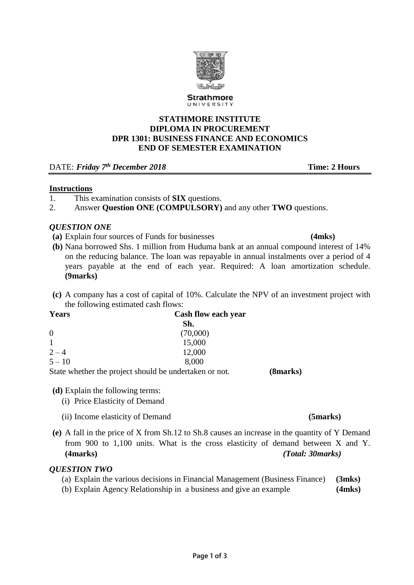

**STATHMORE INSTITUTE DIPLOMA IN PROCUREMENT DPR 1301: BUSINESS FINANCE AND ECONOMICS END OF SEMESTER EXAMINATION** 

DATE: *Friday 7th December 2018* **Time: 2 Hours**

## **Instructions**

- 1. This examination consists of **SIX** questions.
- 2. Answer **Question ONE (COMPULSORY)** and any other **TWO** questions.

## *QUESTION ONE*

- **(a)** Explain four sources of Funds for businesses **(4mks)**
- **(b)** Nana borrowed Shs. 1 million from Huduma bank at an annual compound interest of 14% on the reducing balance. The loan was repayable in annual instalments over a period of 4 years payable at the end of each year. Required: A loan amortization schedule. **(9marks)**
- **(c)** A company has a cost of capital of 10%. Calculate the NPV of an investment project with the following estimated cash flows:

| Years    | Cash flow each year                                   |     |
|----------|-------------------------------------------------------|-----|
|          | Sh.                                                   |     |
| $\theta$ | (70,000)                                              |     |
|          | 15,000                                                |     |
| $2 - 4$  | 12,000                                                |     |
| $5 - 10$ | 8,000                                                 |     |
|          | State whather the project should be undertaken or not | 70. |

State whether the project should be undertaken or not. **(8marks)**

**(d)** Explain the following terms:

- (i) Price Elasticity of Demand
- (ii) Income elasticity of Demand **(5marks)**
- **(e)** A fall in the price of X from Sh.12 to Sh.8 causes an increase in the quantity of Y Demand from 900 to 1,100 units. What is the cross elasticity of demand between X and Y. **(4marks)** *(Total: 30marks)*

## *QUESTION TWO*

|  |  |  | (a) Explain the various decisions in Financial Management (Business Finance) (3mks) |  |
|--|--|--|-------------------------------------------------------------------------------------|--|
|  |  |  |                                                                                     |  |

(b) Explain Agency Relationship in a business and give an example **(4mks)**

**Strathmore** UNIVERSITY

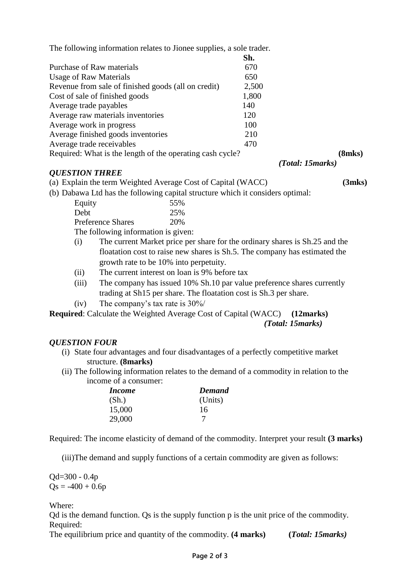The following information relates to Jionee supplies, a sole trader.

|                                                           | Sh.   |                   |
|-----------------------------------------------------------|-------|-------------------|
| Purchase of Raw materials                                 | 670   |                   |
| <b>Usage of Raw Materials</b>                             | 650   |                   |
| Revenue from sale of finished goods (all on credit)       | 2,500 |                   |
| Cost of sale of finished goods                            | 1,800 |                   |
| Average trade payables                                    | 140   |                   |
| Average raw materials inventories                         | 120   |                   |
| Average work in progress                                  | 100   |                   |
| Average finished goods inventories                        | 210   |                   |
| Average trade receivables                                 | 470   |                   |
| Required: What is the length of the operating cash cycle? |       | (8mks)            |
|                                                           |       | (Total: 15 marks) |

### *QUESTION THREE*

(a) Explain the term Weighted Average Cost of Capital (WACC) **(3mks)**

(b) Dabawa Ltd has the following capital structure which it considers optimal:

| oawa Liu nas the following capital |
|------------------------------------|
| 55%                                |
| 25%                                |
| 20%                                |
|                                    |

The following information is given:

- (i) The current Market price per share for the ordinary shares is Sh.25 and the floatation cost to raise new shares is Sh.5. The company has estimated the growth rate to be 10% into perpetuity.
- (ii) The current interest on loan is 9% before tax
- (iii) The company has issued 10% Sh.10 par value preference shares currently trading at Sh15 per share. The floatation cost is Sh.3 per share.

(iv) The company's tax rate is 30%/

**Required**: Calculate the Weighted Average Cost of Capital (WACC) **(12marks)**  *(Total: 15marks)*

## *QUESTION FOUR*

- (i) State four advantages and four disadvantages of a perfectly competitive market structure. **(8marks)**
- (ii) The following information relates to the demand of a commodity in relation to the income of a consumer:

| <i>Income</i> | Demand  |
|---------------|---------|
| (Sh.)         | (Units) |
| 15,000        | 16      |
| 29,000        |         |

Required: The income elasticity of demand of the commodity. Interpret your result **(3 marks)**

(iii)The demand and supply functions of a certain commodity are given as follows:

Qd=300 - 0.4p  $Qs = -400 + 0.6p$ 

Where:

Qd is the demand function. Qs is the supply function p is the unit price of the commodity. Required:

The equilibrium price and quantity of the commodity. **(4 marks) (***Total: 15marks)*